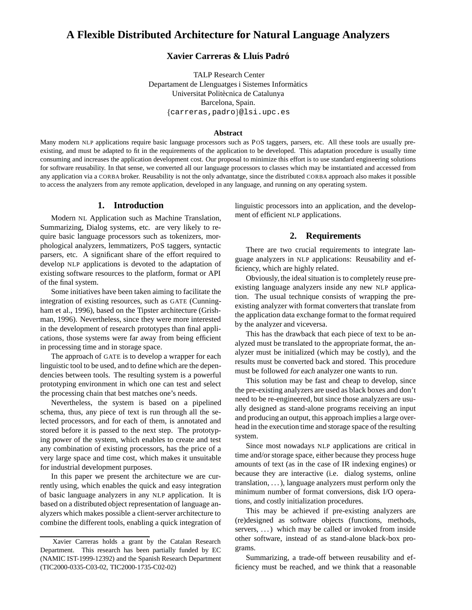# **A Flexible Distributed Architecture for Natural Language Analyzers**

## **Xavier Carreras & Lluís Padró**

TALP Research Center Departament de Llenguatges i Sistemes Informàtics Universitat Politècnica de Catalunya Barcelona, Spain. {carreras, padro}@lsi.upc.es

#### **Abstract**

Many modern NLP applications require basic language processors such as POS taggers, parsers, etc. All these tools are usually preexisting, and must be adapted to fit in the requirements of the application to be developed. This adaptation procedure is usually time consuming and increases the application development cost. Our proposal to minimize this effort is to use standard engineering solutions for software reusability. In that sense, we converted all our language processors to classes which may be instantiated and accessed from any application via a CORBA broker. Reusability is not the only advantatge, since the distributed CORBA approach also makes it possible to access the analyzers from any remote application, developed in any language, and running on any operating system.

#### **1. Introduction**

Modern NL Application such as Machine Translation, Summarizing, Dialog systems, etc. are very likely to require basic language processors such as tokenizers, morphological analyzers, lemmatizers, POS taggers, syntactic parsers, etc. A significant share of the effort required to develop NLP applications is devoted to the adaptation of existing software resources to the platform, format or API of the final system.

Some initiatives have been taken aiming to facilitate the integration of existing resources, such as GATE (Cunningham et al., 1996), based on the Tipster architecture (Grishman, 1996). Nevertheless, since they were more interested in the development of research prototypes than final applications, those systems were far away from being efficient in processing time and in storage space.

The approach of GATE is to develop a wrapper for each linguistic tool to be used, and to define which are the dependencies between tools. The resulting system is a powerful prototyping environment in which one can test and select the processing chain that best matches one's needs.

Nevertheless, the system is based on a pipelined schema, thus, any piece of text is run through all the selected processors, and for each of them, is annotated and stored before it is passed to the next step. The prototyping power of the system, which enables to create and test any combination of existing processors, has the price of a very large space and time cost, which makes it unsuitable for industrial development purposes.

In this paper we present the architecture we are currently using, which enables the quick and easy integration of basic language analyzers in any NLP application. It is based on a distributed object representation of language analyzers which makes possible a client-server architecture to combine the different tools, enabling a quick integration of linguistic processors into an application, and the development of efficient NLP applications.

#### **2. Requirements**

There are two crucial requirements to integrate language analyzers in NLP applications: Reusability and efficiency, which are highly related.

Obviously, the ideal situation is to completely reuse preexisting language analyzers inside any new NLP application. The usual technique consists of wrapping the preexisting analyzer with format converters that translate from the application data exchange format to the format required by the analyzer and viceversa.

This has the drawback that each piece of text to be analyzed must be translated to the appropriate format, the analyzer must be initialized (which may be costly), and the results must be converted back and stored. This procedure must be followed for each analyzer one wants to run.

This solution may be fast and cheap to develop, since the pre-existing analyzers are used as black boxes and don't need to be re-engineered, but since those analyzers are usually designed as stand-alone programs receiving an input and producing an output, this approach implies a large overhead in the execution time and storage space of the resulting system.

Since most nowadays NLP applications are critical in time and/or storage space, either because they process huge amounts of text (as in the case of IR indexing engines) or because they are interactive (i.e. dialog systems, online translation, . . . ), language analyzers must perform only the minimum number of format conversions, disk I/O operations, and costly initialization procedures.

This may be achieved if pre-existing analyzers are (re)designed as software objects (functions, methods, servers, ...) which may be called or invoked from inside other software, instead of as stand-alone black-box programs.

Summarizing, a trade-off between reusability and efficiency must be reached, and we think that a reasonable

Xavier Carreras holds a grant by the Catalan Research Department. This research has been partially funded by EC (NAMIC IST-1999-12392) and the Spanish Research Department (TIC2000-0335-C03-02, TIC2000-1735-C02-02)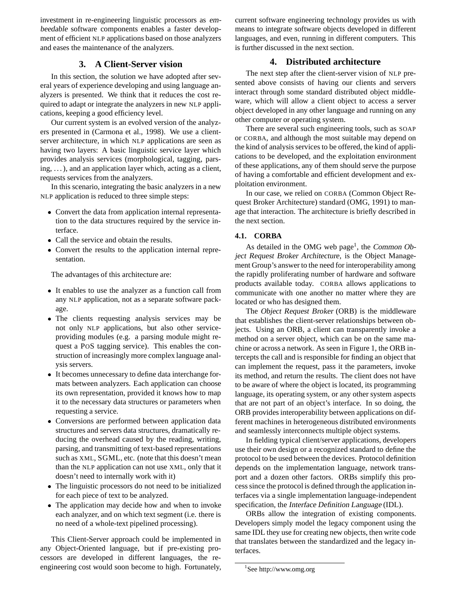investment in re-engineering linguistic processors as embeedable software components enables a faster development of efficient NLP applications based on those analyzers and eases the maintenance of the analyzers.

#### **3. A Client-Server vision**

In this section, the solution we have adopted after several years of experience developing and using language analyzers is presented. We think that it reduces the cost required to adapt or integrate the analyzers in new NLP applications, keeping a good efficiency level.

Our current system is an evolved version of the analyzers presented in (Carmona et al., 1998). We use a clientserver architecture, in which NLP applications are seen as having two layers: A basic linguistic service layer which provides analysis services (morphological, tagging, parsing,  $\dots$ ), and an application layer which, acting as a client, requests services from the analyzers.

In this scenario, integrating the basic analyzers in a new NLP application is reduced to three simple steps:

- Convert the data from application internal representation to the data structures required by the service interface.
- Call the service and obtain the results.
- Convert the results to the application internal representation.

The advantages of this architecture are:

- It enables to use the analyzer as a function call from any NLP application, not as a separate software package.
- The clients requesting analysis services may be not only NLP applications, but also other serviceproviding modules (e.g. a parsing module might request a POS tagging service). This enables the construction of increasingly more complex language analysis servers.
- It becomes unnecessary to define data interchange formats between analyzers. Each application can choose its own representation, provided it knows how to map it to the necessary data structures or parameters when requesting a service.
- Conversions are performed between application data structures and servers data structures, dramatically reducing the overhead caused by the reading, writing, parsing, and transmitting of text-based representations such as XML, SGML, etc. (note that this doesn't mean than the NLP application can not use XML, only that it doesn't need to internally work with it)
- The linguistic processors do not need to be initialized for each piece of text to be analyzed.
- The application may decide how and when to invoke each analyzer, and on which text segment (i.e. there is no need of a whole-text pipelined processing).

This Client-Server approach could be implemented in any Object-Oriented language, but if pre-existing processors are developed in different languages, the reengineering cost would soon become to high. Fortunately,

current software engineering technology provides us with means to integrate software objects developed in different languages, and even, running in different computers. This is further discussed in the next section.

#### **4. Distributed architecture**

The next step after the client-server vision of NLP presented above consists of having our clients and servers interact through some standard distributed object middleware, which will allow a client object to access a server object developed in any other language and running on any other computer or operating system.

There are several such engineering tools, such as SOAP or CORBA, and although the most suitable may depend on the kind of analysis services to be offered, the kind of applications to be developed, and the exploitation environment of these applications, any of them should serve the purpose of having a comfortable and efficient development and exploitation environment.

In our case, we relied on CORBA (Common Object Request Broker Architecture) standard (OMG, 1991) to manage that interaction. The architecture is briefly described in the next section.

#### **4.1. CORBA**

As detailed in the OMG web page<sup>1</sup>, the Common Object Request Broker Architecture, is the Object Management Group's answer to the need for interoperability among the rapidly proliferating number of hardware and software products available today. CORBA allows applications to communicate with one another no matter where they are located or who has designed them.

The Object Request Broker (ORB) is the middleware that establishes the client-server relationships between objects. Using an ORB, a client can transparently invoke a method on a server object, which can be on the same machine or across a network. As seen in Figure 1, the ORB intercepts the call and is responsible for finding an object that can implement the request, pass it the parameters, invoke its method, and return the results. The client does not have to be aware of where the object is located, its programming language, its operating system, or any other system aspects that are not part of an object's interface. In so doing, the ORB provides interoperability between applications on different machines in heterogeneous distributed environments and seamlessly interconnects multiple object systems.

In fielding typical client/server applications, developers use their own design or a recognized standard to define the protocol to be used between the devices. Protocol definition depends on the implementation language, network transport and a dozen other factors. ORBs simplify this process since the protocol is defined through the application interfaces via a single implementation language-independent specification, the Interface Definition Language (IDL).

ORBs allow the integration of existing components. Developers simply model the legacy component using the same IDL they use for creating new objects, then write code that translates between the standardized and the legacy interfaces.

<sup>1</sup>See http://www.omg.org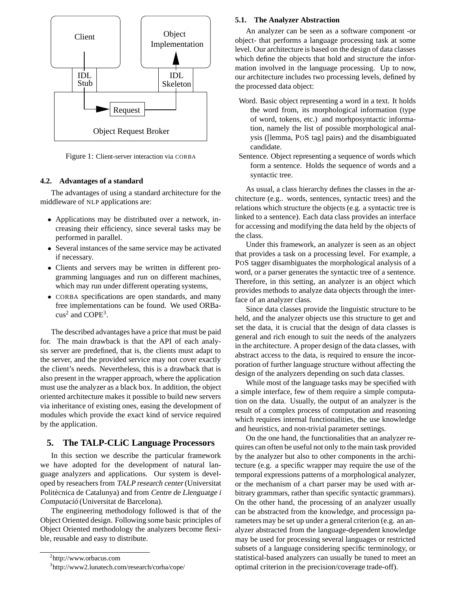

Figure 1: Client-server interaction via CORBA

#### **4.2. Advantages of a standard**

The advantages of using a standard architecture for the middleware of NLP applications are:

- Applications may be distributed over a network, increasing their efficiency, since several tasks may be performed in parallel.
- Several instances of the same service may be activated if necessary.
- Clients and servers may be written in different programming languages and run on different machines, which may run under different operating systems,
- CORBA specifications are open standards, and many free implementations can be found. We used ORBa- $\cos^2$  and COPE<sup>3</sup>.

The described advantages have a price that must be paid for. The main drawback is that the API of each analysis server are predefined, that is, the clients must adapt to the server, and the provided service may not cover exactly the client's needs. Nevertheless, this is a drawback that is also present in the wrapper approach, where the application must use the analyzer as a black box. In addition, the object oriented architecture makes it possible to build new servers via inheritance of existing ones, easing the development of modules which provide the exact kind of service required by the application.

#### **5. The TALP-CLiC Language Processors**

In this section we describe the particular framework we have adopted for the development of natural language analyzers and applications. Our system is developed by reseachers from TALP research center (Universitat Politècnica de Catalunya) and from Centre de Llenguatge i Computació (Universitat de Barcelona).

The engineering methodology followed is that of the Object Oriented design. Following some basic principles of Object Oriented methodology the analyzers become flexible, reusable and easy to distribute.

#### **5.1. The Analyzer Abstraction**

An analyzer can be seen as a software component -or object- that performs a language processing task at some level. Our architecture is based on the design of data classes which define the objects that hold and structure the information involved in the language processing. Up to now, our architecture includes two processing levels, defined by the processed data object:

- Word. Basic object representing a word in a text. It holds the word from, its morphological information (type of word, tokens, etc.) and morhposyntactic information, namely the list of possible morphological analysis ([lemma, POS tag] pairs) and the disambiguated candidate.
- Sentence. Object representing a sequence of words which form a sentence. Holds the sequence of words and a syntactic tree.

As usual, a class hierarchy defines the classes in the architecture (e.g.. words, sentences, syntactic trees) and the relations which structure the objects (e.g. a syntactic tree is linked to a sentence). Each data class provides an interface for accessing and modifying the data held by the objects of the class.

Under this framework, an analyzer is seen as an object that provides a task on a processing level. For example, a POS tagger disambiguates the morphological analysis of a word, or a parser generates the syntactic tree of a sentence. Therefore, in this setting, an analyzer is an object which provides methods to analyze data objects through the interface of an analyzer class.

Since data classes provide the linguistic structure to be held, and the analyzer objects use this structure to get and set the data, it is crucial that the design of data classes is general and rich enough to suit the needs of the analyzers in the architecture. A proper design of the data classes, with abstract access to the data, is required to ensure the incorporation of further language structure without affecting the design of the analyzers depending on such data classes.

While most of the language tasks may be specified with a simple interface, few of them require a simple computation on the data. Usually, the output of an analyzer is the result of a complex process of computation and reasoning which requires internal functionalities, the use knowledge and heuristics, and non-trivial parameter settings.

On the one hand, the functionalities that an analyzer requires can often be useful not only to the main task provided by the analyzer but also to other components in the architecture (e.g. a specific wrapper may require the use of the temporal expressions patterns of a morphological analyzer, or the mechanism of a chart parser may be used with arbitrary grammars, rather than specific syntactic grammars). On the other hand, the processing of an analyzer usually can be abstracted from the knowledge, and processign parameters may be set up under a general criterion (e.g. an analyzer abstracted from the language-dependent knowledge may be used for processing several languages or restricted subsets of a language considering specific terminology, or statistical-based analyzers can usually be tuned to meet an optimal criterion in the precision/coverage trade-off).

<sup>2</sup> http://www.orbacus.com 3 http://www2.lunatech.com/research/corba/cope/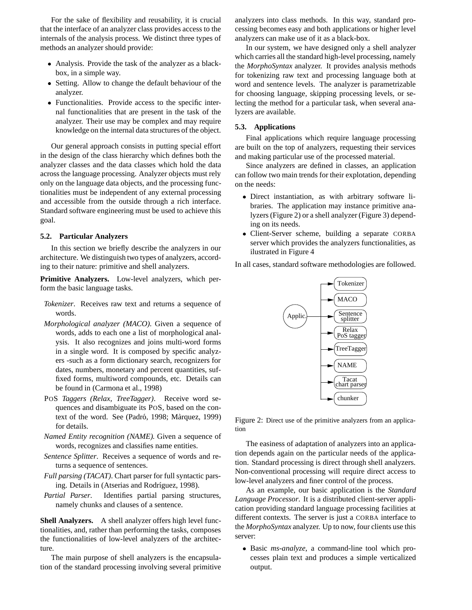For the sake of flexibility and reusability, it is crucial that the interface of an analyzer class provides access to the internals of the analysis process. We distinct three types of methods an analyzer should provide:

- Analysis. Provide the task of the analyzer as a blackbox, in a simple way.
- Setting. Allow to change the default behaviour of the analyzer.
- Functionalities. Provide access to the specific internal functionalities that are present in the task of the analyzer. Their use may be complex and may require knowledge on the internal data structures of the object.

Our general approach consists in putting special effort in the design of the class hierarchy which defines both the analyzer classes and the data classes which hold the data across the language processing. Analyzer objects must rely only on the language data objects, and the processing functionalities must be independent of any external processing and accessible from the outside through a rich interface. Standard software engineering must be used to achieve this goal.

#### **5.2. Particular Analyzers**

In this section we briefly describe the analyzers in our architecture. We distinguish two types of analyzers, according to their nature: primitive and shell analyzers.

**Primitive Analyzers.** Low-level analyzers, which perform the basic language tasks.

- *Tokenizer*. Receives raw text and returns a sequence of words.
- *Morphological analyzer (MACO)*. Given a sequence of words, adds to each one a list of morphological analysis. It also recognizes and joins multi-word forms in a single word. It is composed by specific analyzers -such as a form dictionary search, recognizers for dates, numbers, monetary and percent quantities, suffixed forms, multiword compounds, etc. Details can be found in (Carmona et al., 1998)
- POS *Taggers (Relax, TreeTagger)*. Receive word sequences and disambiguate its POS, based on the context of the word. See (Padró, 1998; Màrquez, 1999) for details.
- *Named Entity recognition (NAME)*. Given a sequence of words, recognizes and classifies name entities.
- *Sentence Splitter*. Receives a sequence of words and returns a sequence of sentences.
- *Full parsing (TACAT)*. Chart parser for full syntactic parsing. Details in (Atserias and Rodríguez, 1998).
- *Partial Parser*. Identifies partial parsing structures, namely chunks and clauses of a sentence.

**Shell Analyzers.** A shell analyzer offers high level functionalities, and, rather than performing the tasks, composes the functionalities of low-level analyzers of the architecture.

The main purpose of shell analyzers is the encapsulation of the standard processing involving several primitive

analyzers into class methods. In this way, standard processing becomes easy and both applications or higher level analyzers can make use of it as a black-box.

In our system, we have designed only a shell analyzer which carries all the standard high-level processing, namely the *MorphoSyntax* analyzer. It provides analysis methods for tokenizing raw text and processing language both at word and sentence levels. The analyzer is parametrizable for choosing language, skipping processing levels, or selecting the method for a particular task, when several analyzers are available.

#### **5.3. Applications**

Final applications which require language processing are built on the top of analyzers, requesting their services and making particular use of the processed material.

Since analyzers are defined in classes, an application can follow two main trends for their explotation, depending on the needs:

- Direct instantiation, as with arbitrary software libraries. The application may instance primitive analyzers (Figure 2) or a shell analyzer (Figure 3) depending on its needs.
- Client-Server scheme, building a separate CORBA server which provides the analyzers functionalities, as ilustrated in Figure 4

In all cases, standard software methodologies are followed.



Figure 2: Direct use of the primitive analyzers from an application

The easiness of adaptation of analyzers into an application depends again on the particular needs of the application. Standard processing is direct through shell analyzers. Non-conventional processing will require direct access to low-level analyzers and finer control of the process.

As an example, our basic application is the *Standard Language Processor*. It is a distributed client-server application providing standard language processing facilities at different contexts. The server is just a CORBA interface to the *MorphoSyntax* analyzer. Up to now, four clients use this server:

 Basic *ms-analyze*, a command-line tool which processes plain text and produces a simple verticalized output.